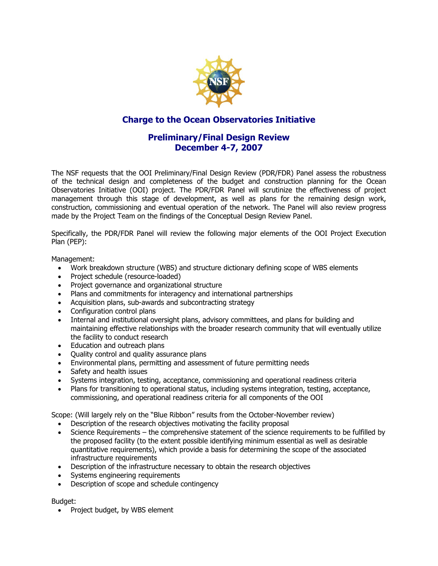

# **Charge to the Ocean Observatories Initiative**

# **Preliminary/Final Design Review December 4-7, 2007**

The NSF requests that the OOI Preliminary/Final Design Review (PDR/FDR) Panel assess the robustness of the technical design and completeness of the budget and construction planning for the Ocean Observatories Initiative (OOI) project. The PDR/FDR Panel will scrutinize the effectiveness of project management through this stage of development, as well as plans for the remaining design work, construction, commissioning and eventual operation of the network. The Panel will also review progress made by the Project Team on the findings of the Conceptual Design Review Panel.

Specifically, the PDR/FDR Panel will review the following major elements of the OOI Project Execution Plan (PEP):

Management:

- Work breakdown structure (WBS) and structure dictionary defining scope of WBS elements
- Project schedule (resource-loaded)
- Project governance and organizational structure
- Plans and commitments for interagency and international partnerships
- Acquisition plans, sub-awards and subcontracting strategy
- Configuration control plans
- Internal and institutional oversight plans, advisory committees, and plans for building and maintaining effective relationships with the broader research community that will eventually utilize the facility to conduct research
- Education and outreach plans
- Quality control and quality assurance plans
- Environmental plans, permitting and assessment of future permitting needs
- Safety and health issues
- Systems integration, testing, acceptance, commissioning and operational readiness criteria
- Plans for transitioning to operational status, including systems integration, testing, acceptance, commissioning, and operational readiness criteria for all components of the OOI

Scope: (Will largely rely on the "Blue Ribbon" results from the October-November review)

- Description of the research objectives motivating the facility proposal
- Science Requirements the comprehensive statement of the science requirements to be fulfilled by the proposed facility (to the extent possible identifying minimum essential as well as desirable quantitative requirements), which provide a basis for determining the scope of the associated infrastructure requirements
- Description of the infrastructure necessary to obtain the research objectives
- Systems engineering requirements
- Description of scope and schedule contingency

Budget:

• Project budget, by WBS element